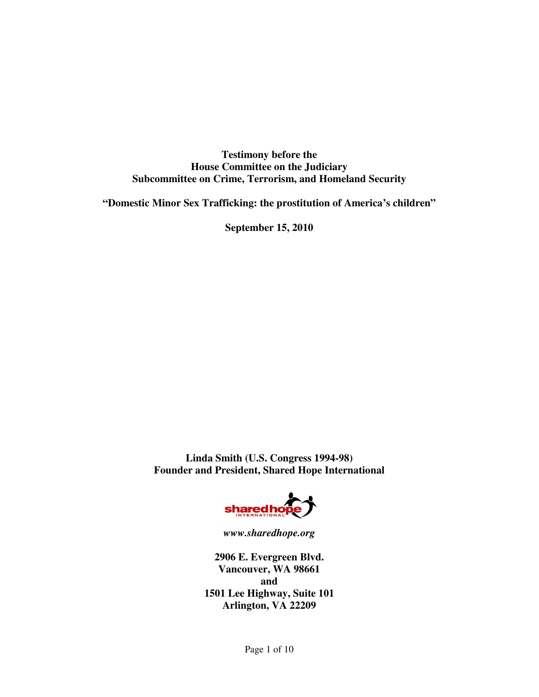**Testimony before the House Committee on the Judiciary Subcommittee on Crime, Terrorism, and Homeland Security** 

**"Domestic Minor Sex Trafficking: the prostitution of America's children"** 

**September 15, 2010** 

**Linda Smith (U.S. Congress 1994-98) Founder and President, Shared Hope International** 



*www.sharedhope.org* 

**2906 E. Evergreen Blvd. Vancouver, WA 98661 and 1501 Lee Highway, Suite 101 Arlington, VA 22209**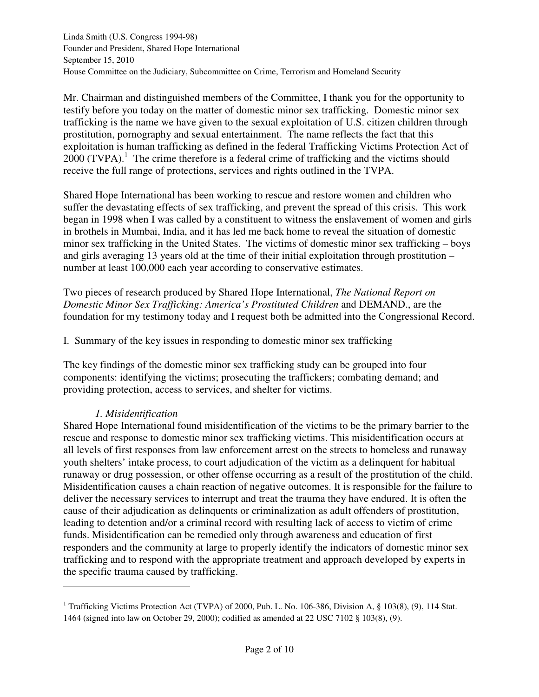Mr. Chairman and distinguished members of the Committee, I thank you for the opportunity to testify before you today on the matter of domestic minor sex trafficking. Domestic minor sex trafficking is the name we have given to the sexual exploitation of U.S. citizen children through prostitution, pornography and sexual entertainment. The name reflects the fact that this exploitation is human trafficking as defined in the federal Trafficking Victims Protection Act of  $2000$  (TVPA).<sup>1</sup> The crime therefore is a federal crime of trafficking and the victims should receive the full range of protections, services and rights outlined in the TVPA.

Shared Hope International has been working to rescue and restore women and children who suffer the devastating effects of sex trafficking, and prevent the spread of this crisis. This work began in 1998 when I was called by a constituent to witness the enslavement of women and girls in brothels in Mumbai, India, and it has led me back home to reveal the situation of domestic minor sex trafficking in the United States. The victims of domestic minor sex trafficking – boys and girls averaging 13 years old at the time of their initial exploitation through prostitution – number at least 100,000 each year according to conservative estimates.

Two pieces of research produced by Shared Hope International, *The National Report on Domestic Minor Sex Trafficking: America's Prostituted Children* and DEMAND., are the foundation for my testimony today and I request both be admitted into the Congressional Record.

I. Summary of the key issues in responding to domestic minor sex trafficking

The key findings of the domestic minor sex trafficking study can be grouped into four components: identifying the victims; prosecuting the traffickers; combating demand; and providing protection, access to services, and shelter for victims.

### *1. Misidentification*

 $\overline{a}$ 

Shared Hope International found misidentification of the victims to be the primary barrier to the rescue and response to domestic minor sex trafficking victims. This misidentification occurs at all levels of first responses from law enforcement arrest on the streets to homeless and runaway youth shelters' intake process, to court adjudication of the victim as a delinquent for habitual runaway or drug possession, or other offense occurring as a result of the prostitution of the child. Misidentification causes a chain reaction of negative outcomes. It is responsible for the failure to deliver the necessary services to interrupt and treat the trauma they have endured. It is often the cause of their adjudication as delinquents or criminalization as adult offenders of prostitution, leading to detention and/or a criminal record with resulting lack of access to victim of crime funds. Misidentification can be remedied only through awareness and education of first responders and the community at large to properly identify the indicators of domestic minor sex trafficking and to respond with the appropriate treatment and approach developed by experts in the specific trauma caused by trafficking.

<sup>&</sup>lt;sup>1</sup> Trafficking Victims Protection Act (TVPA) of 2000, Pub. L. No. 106-386, Division A, § 103(8), (9), 114 Stat. 1464 (signed into law on October 29, 2000); codified as amended at 22 USC 7102 § 103(8), (9).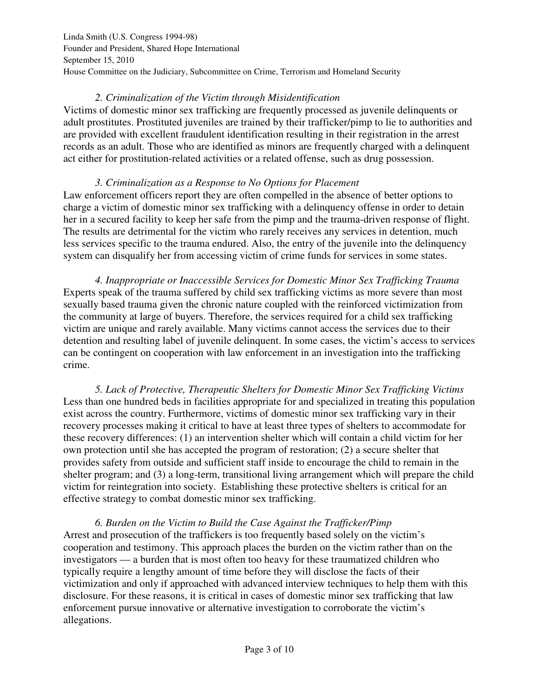# *2. Criminalization of the Victim through Misidentification*

Victims of domestic minor sex trafficking are frequently processed as juvenile delinquents or adult prostitutes. Prostituted juveniles are trained by their trafficker/pimp to lie to authorities and are provided with excellent fraudulent identification resulting in their registration in the arrest records as an adult. Those who are identified as minors are frequently charged with a delinquent act either for prostitution-related activities or a related offense, such as drug possession.

## *3. Criminalization as a Response to No Options for Placement*

Law enforcement officers report they are often compelled in the absence of better options to charge a victim of domestic minor sex trafficking with a delinquency offense in order to detain her in a secured facility to keep her safe from the pimp and the trauma-driven response of flight. The results are detrimental for the victim who rarely receives any services in detention, much less services specific to the trauma endured. Also, the entry of the juvenile into the delinquency system can disqualify her from accessing victim of crime funds for services in some states.

 *4. Inappropriate or Inaccessible Services for Domestic Minor Sex Trafficking Trauma*  Experts speak of the trauma suffered by child sex trafficking victims as more severe than most sexually based trauma given the chronic nature coupled with the reinforced victimization from the community at large of buyers. Therefore, the services required for a child sex trafficking victim are unique and rarely available. Many victims cannot access the services due to their detention and resulting label of juvenile delinquent. In some cases, the victim's access to services can be contingent on cooperation with law enforcement in an investigation into the trafficking crime.

 *5. Lack of Protective, Therapeutic Shelters for Domestic Minor Sex Trafficking Victims*  Less than one hundred beds in facilities appropriate for and specialized in treating this population exist across the country. Furthermore, victims of domestic minor sex trafficking vary in their recovery processes making it critical to have at least three types of shelters to accommodate for these recovery differences: (1) an intervention shelter which will contain a child victim for her own protection until she has accepted the program of restoration; (2) a secure shelter that provides safety from outside and sufficient staff inside to encourage the child to remain in the shelter program; and (3) a long-term, transitional living arrangement which will prepare the child victim for reintegration into society. Establishing these protective shelters is critical for an effective strategy to combat domestic minor sex trafficking.

 *6. Burden on the Victim to Build the Case Against the Trafficker/Pimp*  Arrest and prosecution of the traffickers is too frequently based solely on the victim's cooperation and testimony. This approach places the burden on the victim rather than on the investigators — a burden that is most often too heavy for these traumatized children who typically require a lengthy amount of time before they will disclose the facts of their victimization and only if approached with advanced interview techniques to help them with this disclosure. For these reasons, it is critical in cases of domestic minor sex trafficking that law enforcement pursue innovative or alternative investigation to corroborate the victim's allegations.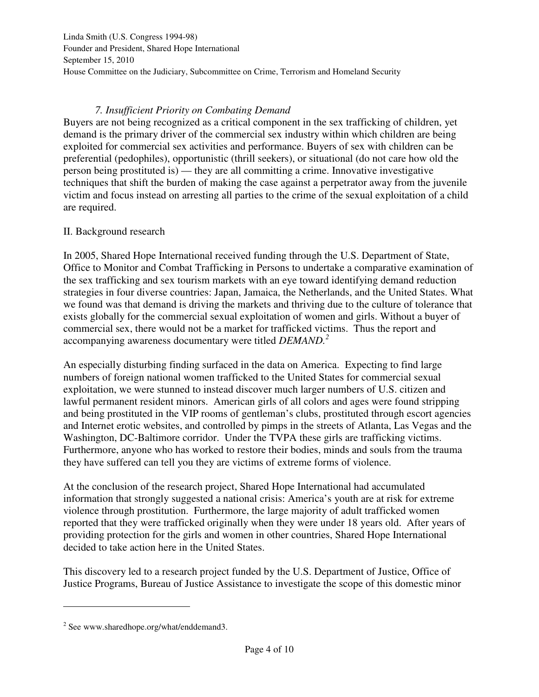## *7. Insufficient Priority on Combating Demand*

Buyers are not being recognized as a critical component in the sex trafficking of children, yet demand is the primary driver of the commercial sex industry within which children are being exploited for commercial sex activities and performance. Buyers of sex with children can be preferential (pedophiles), opportunistic (thrill seekers), or situational (do not care how old the person being prostituted is) — they are all committing a crime. Innovative investigative techniques that shift the burden of making the case against a perpetrator away from the juvenile victim and focus instead on arresting all parties to the crime of the sexual exploitation of a child are required.

## II. Background research

In 2005, Shared Hope International received funding through the U.S. Department of State, Office to Monitor and Combat Trafficking in Persons to undertake a comparative examination of the sex trafficking and sex tourism markets with an eye toward identifying demand reduction strategies in four diverse countries: Japan, Jamaica, the Netherlands, and the United States. What we found was that demand is driving the markets and thriving due to the culture of tolerance that exists globally for the commercial sexual exploitation of women and girls. Without a buyer of commercial sex, there would not be a market for trafficked victims. Thus the report and accompanying awareness documentary were titled *DEMAND.<sup>2</sup>*

An especially disturbing finding surfaced in the data on America. Expecting to find large numbers of foreign national women trafficked to the United States for commercial sexual exploitation, we were stunned to instead discover much larger numbers of U.S. citizen and lawful permanent resident minors. American girls of all colors and ages were found stripping and being prostituted in the VIP rooms of gentleman's clubs, prostituted through escort agencies and Internet erotic websites, and controlled by pimps in the streets of Atlanta, Las Vegas and the Washington, DC-Baltimore corridor. Under the TVPA these girls are trafficking victims. Furthermore, anyone who has worked to restore their bodies, minds and souls from the trauma they have suffered can tell you they are victims of extreme forms of violence.

At the conclusion of the research project, Shared Hope International had accumulated information that strongly suggested a national crisis: America's youth are at risk for extreme violence through prostitution. Furthermore, the large majority of adult trafficked women reported that they were trafficked originally when they were under 18 years old. After years of providing protection for the girls and women in other countries, Shared Hope International decided to take action here in the United States.

This discovery led to a research project funded by the U.S. Department of Justice, Office of Justice Programs, Bureau of Justice Assistance to investigate the scope of this domestic minor

 $\overline{a}$ 

<sup>&</sup>lt;sup>2</sup> See www.sharedhope.org/what/enddemand3.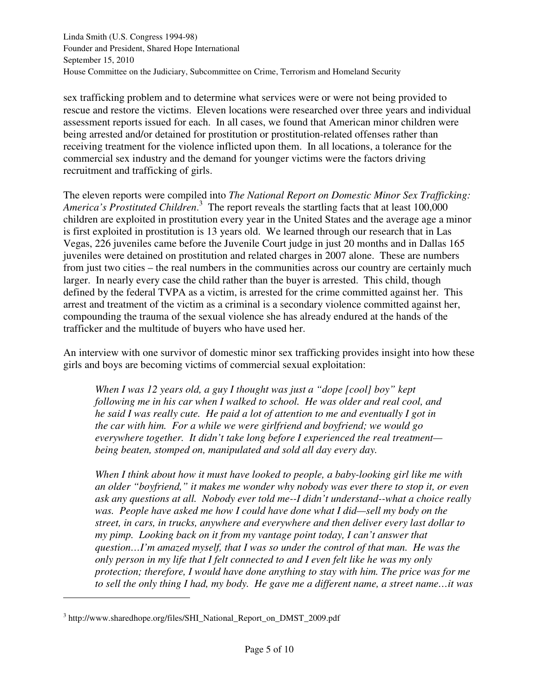sex trafficking problem and to determine what services were or were not being provided to rescue and restore the victims. Eleven locations were researched over three years and individual assessment reports issued for each. In all cases, we found that American minor children were being arrested and/or detained for prostitution or prostitution-related offenses rather than receiving treatment for the violence inflicted upon them. In all locations, a tolerance for the commercial sex industry and the demand for younger victims were the factors driving recruitment and trafficking of girls.

The eleven reports were compiled into *The National Report on Domestic Minor Sex Trafficking:*  America's Prostituted Children.<sup>3</sup> The report reveals the startling facts that at least 100,000 children are exploited in prostitution every year in the United States and the average age a minor is first exploited in prostitution is 13 years old. We learned through our research that in Las Vegas, 226 juveniles came before the Juvenile Court judge in just 20 months and in Dallas 165 juveniles were detained on prostitution and related charges in 2007 alone. These are numbers from just two cities – the real numbers in the communities across our country are certainly much larger. In nearly every case the child rather than the buyer is arrested. This child, though defined by the federal TVPA as a victim, is arrested for the crime committed against her. This arrest and treatment of the victim as a criminal is a secondary violence committed against her, compounding the trauma of the sexual violence she has already endured at the hands of the trafficker and the multitude of buyers who have used her.

An interview with one survivor of domestic minor sex trafficking provides insight into how these girls and boys are becoming victims of commercial sexual exploitation:

*When I was 12 years old, a guy I thought was just a "dope [cool] boy" kept following me in his car when I walked to school. He was older and real cool, and he said I was really cute. He paid a lot of attention to me and eventually I got in the car with him. For a while we were girlfriend and boyfriend; we would go everywhere together. It didn't take long before I experienced the real treatment being beaten, stomped on, manipulated and sold all day every day.* 

*When I think about how it must have looked to people, a baby-looking girl like me with an older "boyfriend," it makes me wonder why nobody was ever there to stop it, or even ask any questions at all. Nobody ever told me--I didn't understand--what a choice really*  was. People have asked me how I could have done what I did—sell my body on the *street, in cars, in trucks, anywhere and everywhere and then deliver every last dollar to my pimp. Looking back on it from my vantage point today, I can't answer that question…I'm amazed myself, that I was so under the control of that man. He was the only person in my life that I felt connected to and I even felt like he was my only protection; therefore, I would have done anything to stay with him. The price was for me to sell the only thing I had, my body. He gave me a different name, a street name…it was* 

l

<sup>&</sup>lt;sup>3</sup> http://www.sharedhope.org/files/SHI\_National\_Report\_on\_DMST\_2009.pdf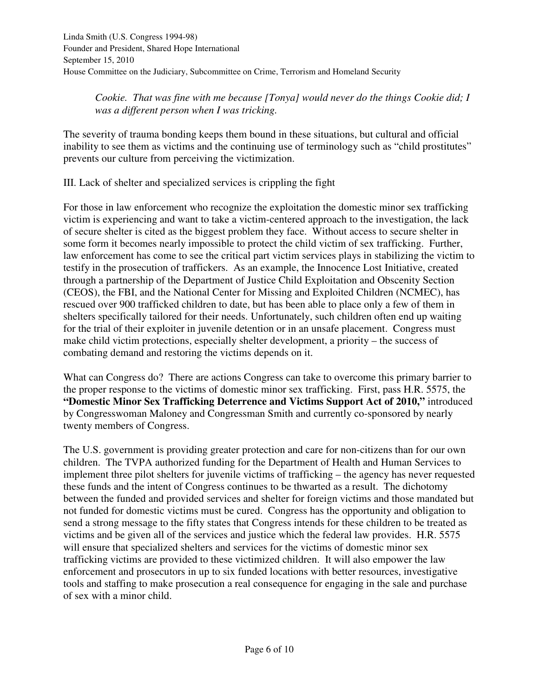*Cookie. That was fine with me because [Tonya] would never do the things Cookie did; I was a different person when I was tricking.* 

The severity of trauma bonding keeps them bound in these situations, but cultural and official inability to see them as victims and the continuing use of terminology such as "child prostitutes" prevents our culture from perceiving the victimization.

III. Lack of shelter and specialized services is crippling the fight

For those in law enforcement who recognize the exploitation the domestic minor sex trafficking victim is experiencing and want to take a victim-centered approach to the investigation, the lack of secure shelter is cited as the biggest problem they face. Without access to secure shelter in some form it becomes nearly impossible to protect the child victim of sex trafficking. Further, law enforcement has come to see the critical part victim services plays in stabilizing the victim to testify in the prosecution of traffickers. As an example, the Innocence Lost Initiative, created through a partnership of the Department of Justice Child Exploitation and Obscenity Section (CEOS), the FBI, and the National Center for Missing and Exploited Children (NCMEC), has rescued over 900 trafficked children to date, but has been able to place only a few of them in shelters specifically tailored for their needs. Unfortunately, such children often end up waiting for the trial of their exploiter in juvenile detention or in an unsafe placement. Congress must make child victim protections, especially shelter development, a priority – the success of combating demand and restoring the victims depends on it.

What can Congress do? There are actions Congress can take to overcome this primary barrier to the proper response to the victims of domestic minor sex trafficking. First, pass H.R. 5575, the **"Domestic Minor Sex Trafficking Deterrence and Victims Support Act of 2010,"** introduced by Congresswoman Maloney and Congressman Smith and currently co-sponsored by nearly twenty members of Congress.

The U.S. government is providing greater protection and care for non-citizens than for our own children. The TVPA authorized funding for the Department of Health and Human Services to implement three pilot shelters for juvenile victims of trafficking – the agency has never requested these funds and the intent of Congress continues to be thwarted as a result. The dichotomy between the funded and provided services and shelter for foreign victims and those mandated but not funded for domestic victims must be cured. Congress has the opportunity and obligation to send a strong message to the fifty states that Congress intends for these children to be treated as victims and be given all of the services and justice which the federal law provides. H.R. 5575 will ensure that specialized shelters and services for the victims of domestic minor sex trafficking victims are provided to these victimized children. It will also empower the law enforcement and prosecutors in up to six funded locations with better resources, investigative tools and staffing to make prosecution a real consequence for engaging in the sale and purchase of sex with a minor child.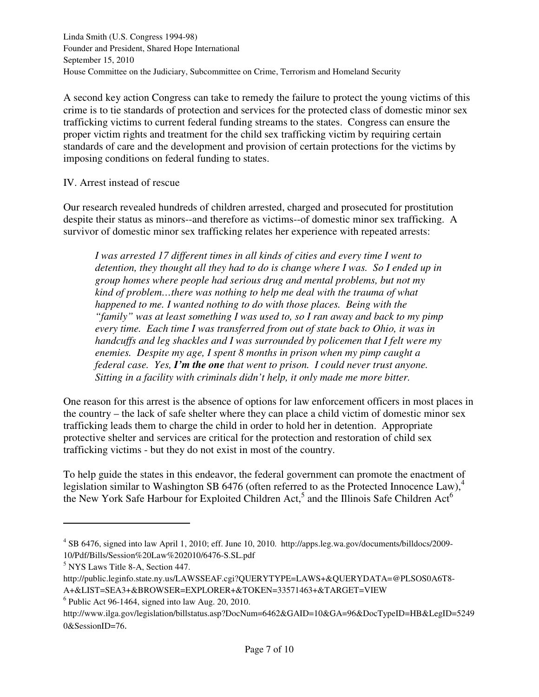A second key action Congress can take to remedy the failure to protect the young victims of this crime is to tie standards of protection and services for the protected class of domestic minor sex trafficking victims to current federal funding streams to the states. Congress can ensure the proper victim rights and treatment for the child sex trafficking victim by requiring certain standards of care and the development and provision of certain protections for the victims by imposing conditions on federal funding to states.

### IV. Arrest instead of rescue

Our research revealed hundreds of children arrested, charged and prosecuted for prostitution despite their status as minors--and therefore as victims--of domestic minor sex trafficking. A survivor of domestic minor sex trafficking relates her experience with repeated arrests:

*I was arrested 17 different times in all kinds of cities and every time I went to detention, they thought all they had to do is change where I was. So I ended up in group homes where people had serious drug and mental problems, but not my kind of problem…there was nothing to help me deal with the trauma of what happened to me. I wanted nothing to do with those places. Being with the "family" was at least something I was used to, so I ran away and back to my pimp every time. Each time I was transferred from out of state back to Ohio, it was in handcuffs and leg shackles and I was surrounded by policemen that I felt were my enemies. Despite my age, I spent 8 months in prison when my pimp caught a federal case. Yes, I'm the one that went to prison. I could never trust anyone. Sitting in a facility with criminals didn't help, it only made me more bitter.* 

One reason for this arrest is the absence of options for law enforcement officers in most places in the country – the lack of safe shelter where they can place a child victim of domestic minor sex trafficking leads them to charge the child in order to hold her in detention. Appropriate protective shelter and services are critical for the protection and restoration of child sex trafficking victims - but they do not exist in most of the country.

To help guide the states in this endeavor, the federal government can promote the enactment of legislation similar to Washington SB 6476 (often referred to as the Protected Innocence Law),<sup>4</sup> the New York Safe Harbour for Exploited Children Act,<sup>5</sup> and the Illinois Safe Children Act<sup>6</sup>

l

<sup>4</sup> SB 6476, signed into law April 1, 2010; eff. June 10, 2010. http://apps.leg.wa.gov/documents/billdocs/2009- 10/Pdf/Bills/Session%20Law%202010/6476-S.SL.pdf

<sup>5</sup> NYS Laws Title 8-A, Section 447.

http://public.leginfo.state.ny.us/LAWSSEAF.cgi?QUERYTYPE=LAWS+&QUERYDATA=@PLSOS0A6T8- A+&LIST=SEA3+&BROWSER=EXPLORER+&TOKEN=33571463+&TARGET=VIEW

 $6$  Public Act 96-1464, signed into law Aug. 20, 2010.

http://www.ilga.gov/legislation/billstatus.asp?DocNum=6462&GAID=10&GA=96&DocTypeID=HB&LegID=5249 0&SessionID=76.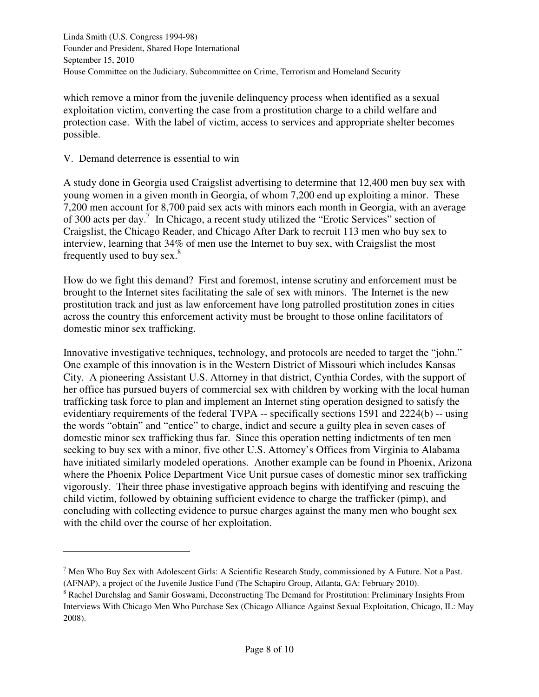which remove a minor from the juvenile delinquency process when identified as a sexual exploitation victim, converting the case from a prostitution charge to a child welfare and protection case. With the label of victim, access to services and appropriate shelter becomes possible.

V. Demand deterrence is essential to win

l

A study done in Georgia used Craigslist advertising to determine that 12,400 men buy sex with young women in a given month in Georgia, of whom 7,200 end up exploiting a minor. These 7,200 men account for 8,700 paid sex acts with minors each month in Georgia, with an average of 300 acts per day.<sup>7</sup> In Chicago, a recent study utilized the "Erotic Services" section of Craigslist, the Chicago Reader, and Chicago After Dark to recruit 113 men who buy sex to interview, learning that 34% of men use the Internet to buy sex, with Craigslist the most frequently used to buy sex. $8$ 

How do we fight this demand? First and foremost, intense scrutiny and enforcement must be brought to the Internet sites facilitating the sale of sex with minors. The Internet is the new prostitution track and just as law enforcement have long patrolled prostitution zones in cities across the country this enforcement activity must be brought to those online facilitators of domestic minor sex trafficking.

Innovative investigative techniques, technology, and protocols are needed to target the "john." One example of this innovation is in the Western District of Missouri which includes Kansas City. A pioneering Assistant U.S. Attorney in that district, Cynthia Cordes, with the support of her office has pursued buyers of commercial sex with children by working with the local human trafficking task force to plan and implement an Internet sting operation designed to satisfy the evidentiary requirements of the federal TVPA -- specifically sections 1591 and 2224(b) -- using the words "obtain" and "entice" to charge, indict and secure a guilty plea in seven cases of domestic minor sex trafficking thus far. Since this operation netting indictments of ten men seeking to buy sex with a minor, five other U.S. Attorney's Offices from Virginia to Alabama have initiated similarly modeled operations. Another example can be found in Phoenix, Arizona where the Phoenix Police Department Vice Unit pursue cases of domestic minor sex trafficking vigorously. Their three phase investigative approach begins with identifying and rescuing the child victim, followed by obtaining sufficient evidence to charge the trafficker (pimp), and concluding with collecting evidence to pursue charges against the many men who bought sex with the child over the course of her exploitation.

 $<sup>7</sup>$  Men Who Buy Sex with Adolescent Girls: A Scientific Research Study, commissioned by A Future. Not a Past.</sup> (AFNAP), a project of the Juvenile Justice Fund (The Schapiro Group, Atlanta, GA: February 2010).

<sup>&</sup>lt;sup>8</sup> Rachel Durchslag and Samir Goswami, Deconstructing The Demand for Prostitution: Preliminary Insights From Interviews With Chicago Men Who Purchase Sex (Chicago Alliance Against Sexual Exploitation, Chicago, IL: May 2008).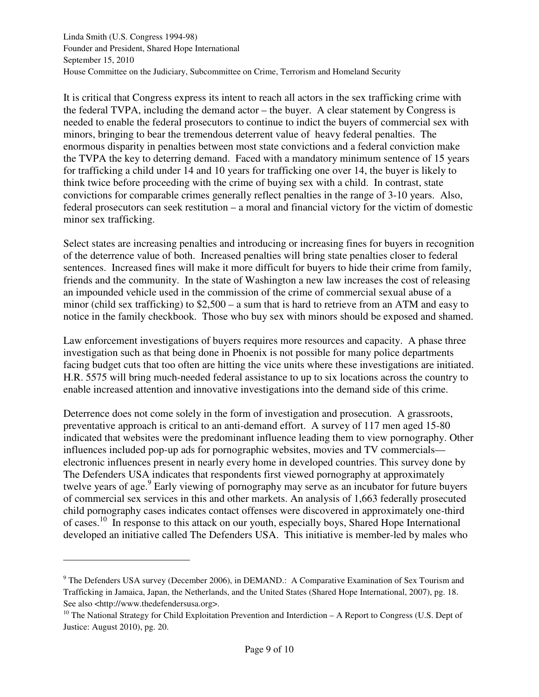It is critical that Congress express its intent to reach all actors in the sex trafficking crime with the federal TVPA, including the demand actor – the buyer. A clear statement by Congress is needed to enable the federal prosecutors to continue to indict the buyers of commercial sex with minors, bringing to bear the tremendous deterrent value of heavy federal penalties. The enormous disparity in penalties between most state convictions and a federal conviction make the TVPA the key to deterring demand. Faced with a mandatory minimum sentence of 15 years for trafficking a child under 14 and 10 years for trafficking one over 14, the buyer is likely to think twice before proceeding with the crime of buying sex with a child. In contrast, state convictions for comparable crimes generally reflect penalties in the range of 3-10 years. Also, federal prosecutors can seek restitution – a moral and financial victory for the victim of domestic minor sex trafficking.

Select states are increasing penalties and introducing or increasing fines for buyers in recognition of the deterrence value of both. Increased penalties will bring state penalties closer to federal sentences. Increased fines will make it more difficult for buyers to hide their crime from family, friends and the community. In the state of Washington a new law increases the cost of releasing an impounded vehicle used in the commission of the crime of commercial sexual abuse of a minor (child sex trafficking) to \$2,500 – a sum that is hard to retrieve from an ATM and easy to notice in the family checkbook. Those who buy sex with minors should be exposed and shamed.

Law enforcement investigations of buyers requires more resources and capacity. A phase three investigation such as that being done in Phoenix is not possible for many police departments facing budget cuts that too often are hitting the vice units where these investigations are initiated. H.R. 5575 will bring much-needed federal assistance to up to six locations across the country to enable increased attention and innovative investigations into the demand side of this crime.

Deterrence does not come solely in the form of investigation and prosecution. A grassroots, preventative approach is critical to an anti-demand effort. A survey of 117 men aged 15-80 indicated that websites were the predominant influence leading them to view pornography. Other influences included pop-up ads for pornographic websites, movies and TV commercials electronic influences present in nearly every home in developed countries. This survey done by The Defenders USA indicates that respondents first viewed pornography at approximately twelve years of age.<sup>9</sup> Early viewing of pornography may serve as an incubator for future buyers of commercial sex services in this and other markets. An analysis of 1,663 federally prosecuted child pornography cases indicates contact offenses were discovered in approximately one-third of cases.<sup>10</sup> In response to this attack on our youth, especially boys, Shared Hope International developed an initiative called The Defenders USA. This initiative is member-led by males who

 $\overline{a}$ 

<sup>&</sup>lt;sup>9</sup> The Defenders USA survey (December 2006), in DEMAND.: A Comparative Examination of Sex Tourism and Trafficking in Jamaica, Japan, the Netherlands, and the United States (Shared Hope International, 2007), pg. 18. See also <http://www.thedefendersusa.org>.

<sup>&</sup>lt;sup>10</sup> The National Strategy for Child Exploitation Prevention and Interdiction – A Report to Congress (U.S. Dept of Justice: August 2010), pg. 20.